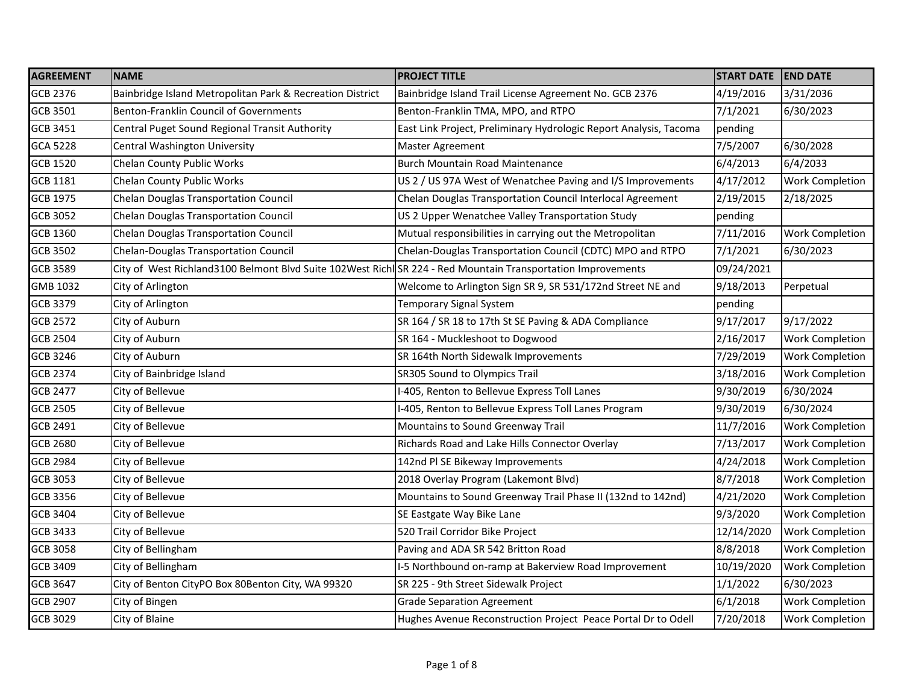| <b>AGREEMENT</b> | <b>NAME</b>                                                                                                  | <b>PROJECT TITLE</b>                                              | <b>START DATE</b> | <b>END DATE</b>        |
|------------------|--------------------------------------------------------------------------------------------------------------|-------------------------------------------------------------------|-------------------|------------------------|
| <b>GCB 2376</b>  | Bainbridge Island Metropolitan Park & Recreation District                                                    | Bainbridge Island Trail License Agreement No. GCB 2376            | 4/19/2016         | 3/31/2036              |
| <b>GCB 3501</b>  | Benton-Franklin Council of Governments                                                                       | Benton-Franklin TMA, MPO, and RTPO                                | 7/1/2021          | 6/30/2023              |
| <b>GCB 3451</b>  | Central Puget Sound Regional Transit Authority                                                               | East Link Project, Preliminary Hydrologic Report Analysis, Tacoma | pending           |                        |
| <b>GCA 5228</b>  | Central Washington University                                                                                | Master Agreement                                                  | 7/5/2007          | 6/30/2028              |
| <b>GCB 1520</b>  | Chelan County Public Works                                                                                   | <b>Burch Mountain Road Maintenance</b>                            | 6/4/2013          | 6/4/2033               |
| <b>GCB 1181</b>  | Chelan County Public Works                                                                                   | US 2 / US 97A West of Wenatchee Paving and I/S Improvements       | 4/17/2012         | Work Completion        |
| <b>GCB 1975</b>  | Chelan Douglas Transportation Council                                                                        | Chelan Douglas Transportation Council Interlocal Agreement        | 2/19/2015         | 2/18/2025              |
| <b>GCB 3052</b>  | Chelan Douglas Transportation Council                                                                        | US 2 Upper Wenatchee Valley Transportation Study                  | pending           |                        |
| GCB 1360         | Chelan Douglas Transportation Council                                                                        | Mutual responsibilities in carrying out the Metropolitan          | 7/11/2016         | Work Completion        |
| <b>GCB 3502</b>  | Chelan-Douglas Transportation Council                                                                        | Chelan-Douglas Transportation Council (CDTC) MPO and RTPO         | 7/1/2021          | 6/30/2023              |
| <b>GCB 3589</b>  | City of West Richland3100 Belmont Blvd Suite 102West Richl SR 224 - Red Mountain Transportation Improvements |                                                                   | 09/24/2021        |                        |
| GMB 1032         | City of Arlington                                                                                            | Welcome to Arlington Sign SR 9, SR 531/172nd Street NE and        | 9/18/2013         | Perpetual              |
| <b>GCB 3379</b>  | City of Arlington                                                                                            | Temporary Signal System                                           | pending           |                        |
| <b>GCB 2572</b>  | City of Auburn                                                                                               | SR 164 / SR 18 to 17th St SE Paving & ADA Compliance              | 9/17/2017         | 9/17/2022              |
| <b>GCB 2504</b>  | City of Auburn                                                                                               | SR 164 - Muckleshoot to Dogwood                                   | 2/16/2017         | Work Completion        |
| <b>GCB 3246</b>  | City of Auburn                                                                                               | SR 164th North Sidewalk Improvements                              | 7/29/2019         | <b>Work Completion</b> |
| <b>GCB 2374</b>  | City of Bainbridge Island                                                                                    | SR305 Sound to Olympics Trail                                     | 3/18/2016         | <b>Work Completion</b> |
| <b>GCB 2477</b>  | City of Bellevue                                                                                             | -405, Renton to Bellevue Express Toll Lanes                       | 9/30/2019         | 6/30/2024              |
| <b>GCB 2505</b>  | City of Bellevue                                                                                             | I-405, Renton to Bellevue Express Toll Lanes Program              | 9/30/2019         | 6/30/2024              |
| <b>GCB 2491</b>  | City of Bellevue                                                                                             | Mountains to Sound Greenway Trail                                 | 11/7/2016         | <b>Work Completion</b> |
| <b>GCB 2680</b>  | City of Bellevue                                                                                             | Richards Road and Lake Hills Connector Overlay                    | 7/13/2017         | Work Completion        |
| <b>GCB 2984</b>  | City of Bellevue                                                                                             | 142nd PI SE Bikeway Improvements                                  | 4/24/2018         | <b>Work Completion</b> |
| <b>GCB 3053</b>  | City of Bellevue                                                                                             | 2018 Overlay Program (Lakemont Blvd)                              | 8/7/2018          | Work Completion        |
| <b>GCB 3356</b>  | City of Bellevue                                                                                             | Mountains to Sound Greenway Trail Phase II (132nd to 142nd)       | 4/21/2020         | Work Completion        |
| <b>GCB 3404</b>  | City of Bellevue                                                                                             | SE Eastgate Way Bike Lane                                         | 9/3/2020          | <b>Work Completion</b> |
| <b>GCB 3433</b>  | City of Bellevue                                                                                             | 520 Trail Corridor Bike Project                                   | 12/14/2020        | <b>Work Completion</b> |
| <b>GCB 3058</b>  | City of Bellingham                                                                                           | Paving and ADA SR 542 Britton Road                                | 8/8/2018          | Work Completion        |
| <b>GCB 3409</b>  | City of Bellingham                                                                                           | I-5 Northbound on-ramp at Bakerview Road Improvement              | 10/19/2020        | <b>Work Completion</b> |
| <b>GCB 3647</b>  | City of Benton CityPO Box 80Benton City, WA 99320                                                            | SR 225 - 9th Street Sidewalk Project                              | 1/1/2022          | 6/30/2023              |
| <b>GCB 2907</b>  | City of Bingen                                                                                               | <b>Grade Separation Agreement</b>                                 | 6/1/2018          | Work Completion        |
| <b>GCB 3029</b>  | City of Blaine                                                                                               | Hughes Avenue Reconstruction Project Peace Portal Dr to Odell     | 7/20/2018         | <b>Work Completion</b> |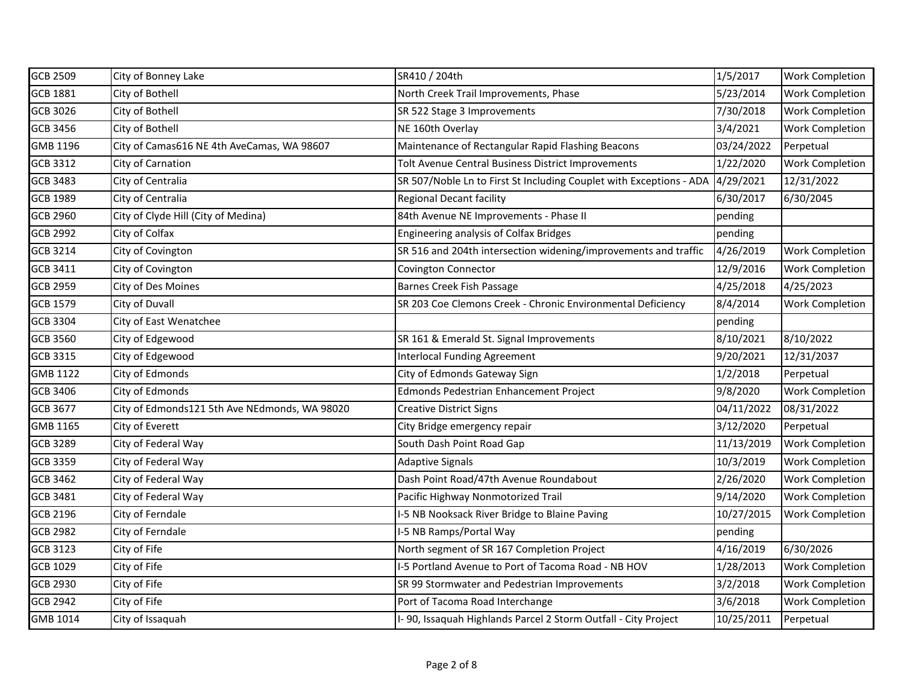| <b>GCB 2509</b> | City of Bonney Lake                           | SR410 / 204th                                                       | 1/5/2017   | <b>Work Completion</b> |
|-----------------|-----------------------------------------------|---------------------------------------------------------------------|------------|------------------------|
| <b>GCB 1881</b> | City of Bothell                               | North Creek Trail Improvements, Phase                               | 5/23/2014  | <b>Work Completion</b> |
| GCB 3026        | City of Bothell                               | SR 522 Stage 3 Improvements                                         | 7/30/2018  | <b>Work Completion</b> |
| <b>GCB 3456</b> | City of Bothell                               | NE 160th Overlay                                                    | 3/4/2021   | Work Completion        |
| GMB 1196        | City of Camas616 NE 4th AveCamas, WA 98607    | Maintenance of Rectangular Rapid Flashing Beacons                   | 03/24/2022 | Perpetual              |
| <b>GCB 3312</b> | City of Carnation                             | Tolt Avenue Central Business District Improvements                  | 1/22/2020  | <b>Work Completion</b> |
| <b>GCB 3483</b> | City of Centralia                             | SR 507/Noble Ln to First St Including Couplet with Exceptions - ADA | 4/29/2021  | 12/31/2022             |
| <b>GCB 1989</b> | City of Centralia                             | <b>Regional Decant facility</b>                                     | 6/30/2017  | 6/30/2045              |
| <b>GCB 2960</b> | City of Clyde Hill (City of Medina)           | 84th Avenue NE Improvements - Phase II                              | pending    |                        |
| <b>GCB 2992</b> | City of Colfax                                | Engineering analysis of Colfax Bridges                              | pending    |                        |
| <b>GCB 3214</b> | City of Covington                             | SR 516 and 204th intersection widening/improvements and traffic     | 4/26/2019  | <b>Work Completion</b> |
| <b>GCB 3411</b> | City of Covington                             | Covington Connector                                                 | 12/9/2016  | <b>Work Completion</b> |
| <b>GCB 2959</b> | City of Des Moines                            | Barnes Creek Fish Passage                                           | 4/25/2018  | 4/25/2023              |
| <b>GCB 1579</b> | City of Duvall                                | SR 203 Coe Clemons Creek - Chronic Environmental Deficiency         | 8/4/2014   | <b>Work Completion</b> |
| GCB 3304        | City of East Wenatchee                        |                                                                     | pending    |                        |
| <b>GCB 3560</b> | City of Edgewood                              | SR 161 & Emerald St. Signal Improvements                            | 8/10/2021  | 8/10/2022              |
| <b>GCB 3315</b> | City of Edgewood                              | <b>Interlocal Funding Agreement</b>                                 | 9/20/2021  | 12/31/2037             |
| GMB 1122        | City of Edmonds                               | City of Edmonds Gateway Sign                                        | 1/2/2018   | Perpetual              |
| <b>GCB 3406</b> | City of Edmonds                               | Edmonds Pedestrian Enhancement Project                              | 9/8/2020   | <b>Work Completion</b> |
| <b>GCB 3677</b> | City of Edmonds121 5th Ave NEdmonds, WA 98020 | <b>Creative District Signs</b>                                      | 04/11/2022 | 08/31/2022             |
| GMB 1165        | City of Everett                               | City Bridge emergency repair                                        | 3/12/2020  | Perpetual              |
| <b>GCB 3289</b> | City of Federal Way                           | South Dash Point Road Gap                                           | 11/13/2019 | <b>Work Completion</b> |
| <b>GCB 3359</b> | City of Federal Way                           | <b>Adaptive Signals</b>                                             | 10/3/2019  | <b>Work Completion</b> |
| <b>GCB 3462</b> | City of Federal Way                           | Dash Point Road/47th Avenue Roundabout                              | 2/26/2020  | <b>Work Completion</b> |
| <b>GCB 3481</b> | City of Federal Way                           | Pacific Highway Nonmotorized Trail                                  | 9/14/2020  | <b>Work Completion</b> |
| <b>GCB 2196</b> | City of Ferndale                              | I-5 NB Nooksack River Bridge to Blaine Paving                       | 10/27/2015 | <b>Work Completion</b> |
| <b>GCB 2982</b> | City of Ferndale                              | I-5 NB Ramps/Portal Way                                             | pending    |                        |
| <b>GCB 3123</b> | City of Fife                                  | North segment of SR 167 Completion Project                          | 4/16/2019  | 6/30/2026              |
| <b>GCB 1029</b> | City of Fife                                  | I-5 Portland Avenue to Port of Tacoma Road - NB HOV                 | 1/28/2013  | <b>Work Completion</b> |
| <b>GCB 2930</b> | City of Fife                                  | SR 99 Stormwater and Pedestrian Improvements                        | 3/2/2018   | <b>Work Completion</b> |
| <b>GCB 2942</b> | City of Fife                                  | Port of Tacoma Road Interchange                                     | 3/6/2018   | <b>Work Completion</b> |
| GMB 1014        | City of Issaquah                              | I-90, Issaquah Highlands Parcel 2 Storm Outfall - City Project      | 10/25/2011 | Perpetual              |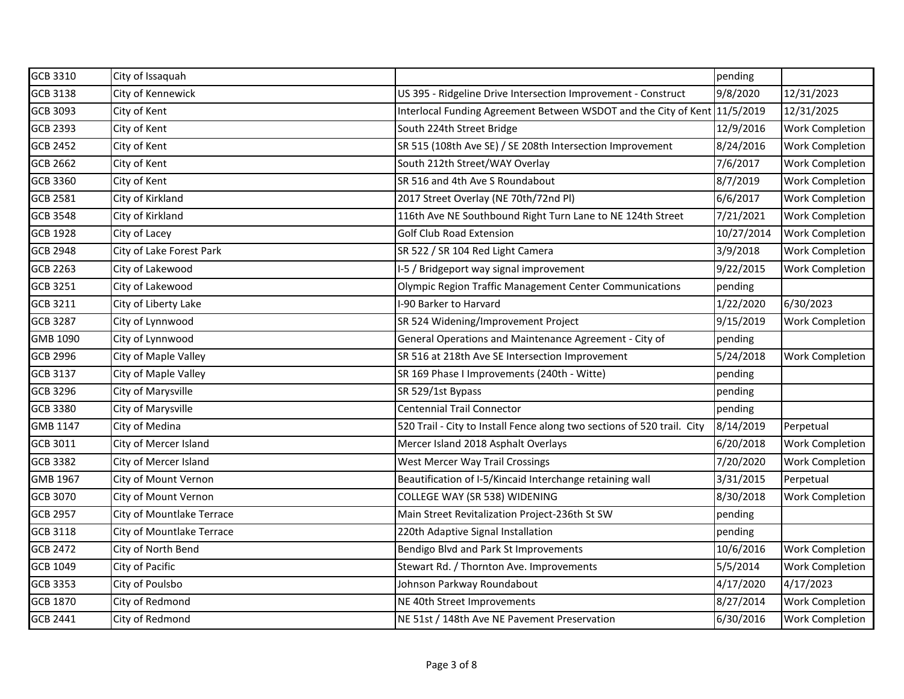| <b>GCB 3310</b> | City of Issaquah          |                                                                           | pending    |                        |
|-----------------|---------------------------|---------------------------------------------------------------------------|------------|------------------------|
| <b>GCB 3138</b> | City of Kennewick         | US 395 - Ridgeline Drive Intersection Improvement - Construct             | 9/8/2020   | 12/31/2023             |
| GCB 3093        | City of Kent              | Interlocal Funding Agreement Between WSDOT and the City of Kent 11/5/2019 |            | 12/31/2025             |
| <b>GCB 2393</b> | City of Kent              | South 224th Street Bridge                                                 | 12/9/2016  | Work Completion        |
| <b>GCB 2452</b> | City of Kent              | SR 515 (108th Ave SE) / SE 208th Intersection Improvement                 | 8/24/2016  | Work Completion        |
| GCB 2662        | City of Kent              | South 212th Street/WAY Overlay                                            | 7/6/2017   | <b>Work Completion</b> |
| <b>GCB 3360</b> | City of Kent              | SR 516 and 4th Ave S Roundabout                                           | 8/7/2019   | Work Completion        |
| <b>GCB 2581</b> | City of Kirkland          | 2017 Street Overlay (NE 70th/72nd Pl)                                     | 6/6/2017   | Work Completion        |
| <b>GCB 3548</b> | City of Kirkland          | 116th Ave NE Southbound Right Turn Lane to NE 124th Street                | 7/21/2021  | <b>Work Completion</b> |
| <b>GCB 1928</b> | City of Lacey             | <b>Golf Club Road Extension</b>                                           | 10/27/2014 | <b>Work Completion</b> |
| <b>GCB 2948</b> | City of Lake Forest Park  | SR 522 / SR 104 Red Light Camera                                          | 3/9/2018   | Work Completion        |
| <b>GCB 2263</b> | City of Lakewood          | I-5 / Bridgeport way signal improvement                                   | 9/22/2015  | <b>Work Completion</b> |
| <b>GCB 3251</b> | City of Lakewood          | Olympic Region Traffic Management Center Communications                   | pending    |                        |
| <b>GCB 3211</b> | City of Liberty Lake      | I-90 Barker to Harvard                                                    | 1/22/2020  | 6/30/2023              |
| <b>GCB 3287</b> | City of Lynnwood          | SR 524 Widening/Improvement Project                                       | 9/15/2019  | <b>Work Completion</b> |
| GMB 1090        | City of Lynnwood          | General Operations and Maintenance Agreement - City of                    | pending    |                        |
| <b>GCB 2996</b> | City of Maple Valley      | SR 516 at 218th Ave SE Intersection Improvement                           | 5/24/2018  | <b>Work Completion</b> |
| GCB 3137        | City of Maple Valley      | SR 169 Phase I Improvements (240th - Witte)                               | pending    |                        |
| <b>GCB 3296</b> | City of Marysville        | SR 529/1st Bypass                                                         | pending    |                        |
| <b>GCB 3380</b> | City of Marysville        | <b>Centennial Trail Connector</b>                                         | pending    |                        |
| GMB 1147        | City of Medina            | 520 Trail - City to Install Fence along two sections of 520 trail. City   | 8/14/2019  | Perpetual              |
| <b>GCB 3011</b> | City of Mercer Island     | Mercer Island 2018 Asphalt Overlays                                       | 6/20/2018  | Work Completion        |
| <b>GCB 3382</b> | City of Mercer Island     | <b>West Mercer Way Trail Crossings</b>                                    | 7/20/2020  | Work Completion        |
| GMB 1967        | City of Mount Vernon      | Beautification of I-5/Kincaid Interchange retaining wall                  | 3/31/2015  | Perpetual              |
| <b>GCB 3070</b> | City of Mount Vernon      | COLLEGE WAY (SR 538) WIDENING                                             | 8/30/2018  | <b>Work Completion</b> |
| <b>GCB 2957</b> | City of Mountlake Terrace | Main Street Revitalization Project-236th St SW                            | pending    |                        |
| GCB 3118        | City of Mountlake Terrace | 220th Adaptive Signal Installation                                        | pending    |                        |
| <b>GCB 2472</b> | City of North Bend        | Bendigo Blvd and Park St Improvements                                     | 10/6/2016  | <b>Work Completion</b> |
| <b>GCB 1049</b> | City of Pacific           | Stewart Rd. / Thornton Ave. Improvements                                  | 5/5/2014   | Work Completion        |
| <b>GCB 3353</b> | City of Poulsbo           | Johnson Parkway Roundabout                                                | 4/17/2020  | 4/17/2023              |
| <b>GCB 1870</b> | City of Redmond           | NE 40th Street Improvements                                               | 8/27/2014  | Work Completion        |
| <b>GCB 2441</b> | City of Redmond           | NE 51st / 148th Ave NE Pavement Preservation                              | 6/30/2016  | Work Completion        |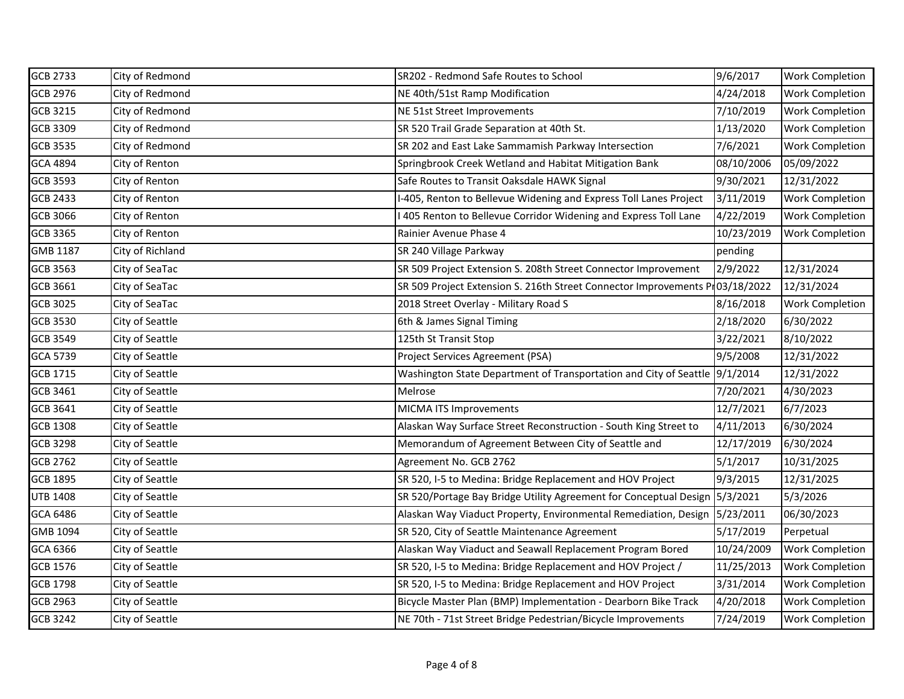| <b>GCB 2733</b> | City of Redmond  | SR202 - Redmond Safe Routes to School                                        | 9/6/2017   | <b>Work Completion</b> |
|-----------------|------------------|------------------------------------------------------------------------------|------------|------------------------|
| <b>GCB 2976</b> | City of Redmond  | NE 40th/51st Ramp Modification                                               | 4/24/2018  | <b>Work Completion</b> |
| GCB 3215        | City of Redmond  | NE 51st Street Improvements                                                  | 7/10/2019  | <b>Work Completion</b> |
| <b>GCB 3309</b> | City of Redmond  | SR 520 Trail Grade Separation at 40th St.                                    | 1/13/2020  | <b>Work Completion</b> |
| <b>GCB 3535</b> | City of Redmond  | SR 202 and East Lake Sammamish Parkway Intersection                          | 7/6/2021   | <b>Work Completion</b> |
| GCA 4894        | City of Renton   | Springbrook Creek Wetland and Habitat Mitigation Bank                        | 08/10/2006 | 05/09/2022             |
| <b>GCB 3593</b> | City of Renton   | Safe Routes to Transit Oaksdale HAWK Signal                                  | 9/30/2021  | 12/31/2022             |
| <b>GCB 2433</b> | City of Renton   | I-405, Renton to Bellevue Widening and Express Toll Lanes Project            | 3/11/2019  | <b>Work Completion</b> |
| GCB 3066        | City of Renton   | 405 Renton to Bellevue Corridor Widening and Express Toll Lane               | 4/22/2019  | <b>Work Completion</b> |
| <b>GCB 3365</b> | City of Renton   | Rainier Avenue Phase 4                                                       | 10/23/2019 | <b>Work Completion</b> |
| GMB 1187        | City of Richland | SR 240 Village Parkway                                                       | pending    |                        |
| GCB 3563        | City of SeaTac   | SR 509 Project Extension S. 208th Street Connector Improvement               | 2/9/2022   | 12/31/2024             |
| <b>GCB 3661</b> | City of SeaTac   | SR 509 Project Extension S. 216th Street Connector Improvements Pr03/18/2022 |            | 12/31/2024             |
| <b>GCB 3025</b> | City of SeaTac   | 2018 Street Overlay - Military Road S                                        | 8/16/2018  | <b>Work Completion</b> |
| GCB 3530        | City of Seattle  | 6th & James Signal Timing                                                    | 2/18/2020  | 6/30/2022              |
| <b>GCB 3549</b> | City of Seattle  | 125th St Transit Stop                                                        | 3/22/2021  | 8/10/2022              |
| GCA 5739        | City of Seattle  | Project Services Agreement (PSA)                                             | 9/5/2008   | 12/31/2022             |
| <b>GCB 1715</b> | City of Seattle  | Washington State Department of Transportation and City of Seattle 9/1/2014   |            | 12/31/2022             |
| <b>GCB 3461</b> | City of Seattle  | Melrose                                                                      | 7/20/2021  | 4/30/2023              |
| GCB 3641        | City of Seattle  | MICMA ITS Improvements                                                       | 12/7/2021  | 6/7/2023               |
| GCB 1308        | City of Seattle  | Alaskan Way Surface Street Reconstruction - South King Street to             | 4/11/2013  | 6/30/2024              |
| <b>GCB 3298</b> | City of Seattle  | Memorandum of Agreement Between City of Seattle and                          | 12/17/2019 | 6/30/2024              |
| GCB 2762        | City of Seattle  | Agreement No. GCB 2762                                                       | 5/1/2017   | 10/31/2025             |
| <b>GCB 1895</b> | City of Seattle  | SR 520, I-5 to Medina: Bridge Replacement and HOV Project                    | 9/3/2015   | 12/31/2025             |
| <b>UTB 1408</b> | City of Seattle  | SR 520/Portage Bay Bridge Utility Agreement for Conceptual Design 5/3/2021   |            | 5/3/2026               |
| GCA 6486        | City of Seattle  | Alaskan Way Viaduct Property, Environmental Remediation, Design              | 5/23/2011  | 06/30/2023             |
| GMB 1094        | City of Seattle  | SR 520, City of Seattle Maintenance Agreement                                | 5/17/2019  | Perpetual              |
| GCA 6366        | City of Seattle  | Alaskan Way Viaduct and Seawall Replacement Program Bored                    | 10/24/2009 | <b>Work Completion</b> |
| <b>GCB 1576</b> | City of Seattle  | SR 520, I-5 to Medina: Bridge Replacement and HOV Project /                  | 11/25/2013 | <b>Work Completion</b> |
| <b>GCB 1798</b> | City of Seattle  | SR 520, I-5 to Medina: Bridge Replacement and HOV Project                    | 3/31/2014  | <b>Work Completion</b> |
| <b>GCB 2963</b> | City of Seattle  | Bicycle Master Plan (BMP) Implementation - Dearborn Bike Track               | 4/20/2018  | <b>Work Completion</b> |
| GCB 3242        | City of Seattle  | NE 70th - 71st Street Bridge Pedestrian/Bicycle Improvements                 | 7/24/2019  | <b>Work Completion</b> |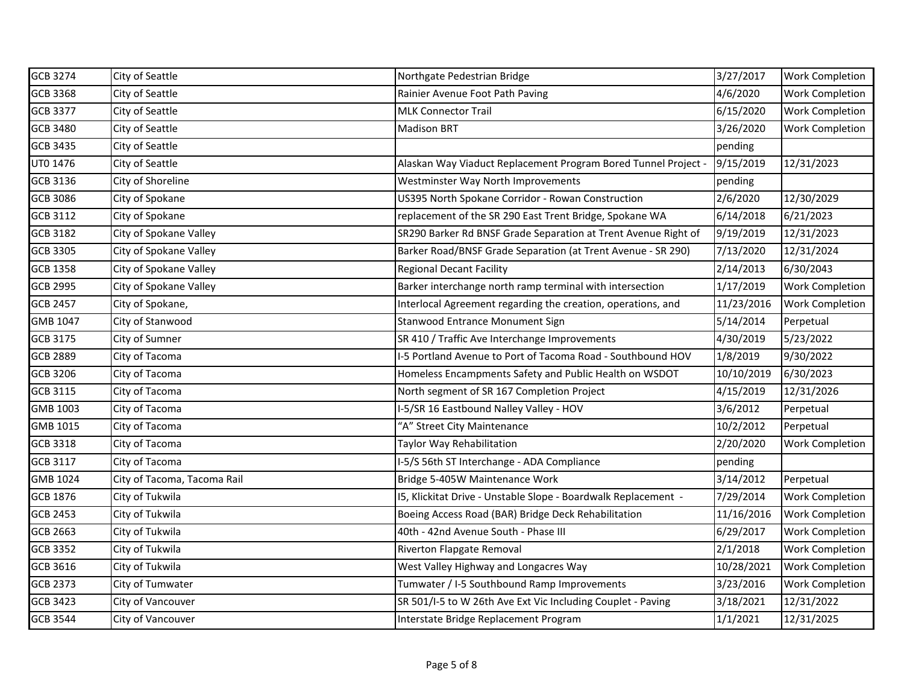| GCB 3274        | City of Seattle             | Northgate Pedestrian Bridge                                    | 3/27/2017  | <b>Work Completion</b> |
|-----------------|-----------------------------|----------------------------------------------------------------|------------|------------------------|
| GCB 3368        | City of Seattle             | Rainier Avenue Foot Path Paving                                | 4/6/2020   | <b>Work Completion</b> |
| <b>GCB 3377</b> | City of Seattle             | <b>MLK Connector Trail</b>                                     | 6/15/2020  | <b>Work Completion</b> |
| <b>GCB 3480</b> | City of Seattle             | <b>Madison BRT</b>                                             | 3/26/2020  | <b>Work Completion</b> |
| <b>GCB 3435</b> | City of Seattle             |                                                                | pending    |                        |
| UT0 1476        | City of Seattle             | Alaskan Way Viaduct Replacement Program Bored Tunnel Project - | 9/15/2019  | 12/31/2023             |
| GCB 3136        | City of Shoreline           | Westminster Way North Improvements                             | pending    |                        |
| <b>GCB 3086</b> | City of Spokane             | US395 North Spokane Corridor - Rowan Construction              | 2/6/2020   | 12/30/2029             |
| <b>GCB 3112</b> | City of Spokane             | replacement of the SR 290 East Trent Bridge, Spokane WA        | 6/14/2018  | 6/21/2023              |
| <b>GCB 3182</b> | City of Spokane Valley      | SR290 Barker Rd BNSF Grade Separation at Trent Avenue Right of | 9/19/2019  | 12/31/2023             |
| GCB 3305        | City of Spokane Valley      | Barker Road/BNSF Grade Separation (at Trent Avenue - SR 290)   | 7/13/2020  | 12/31/2024             |
| <b>GCB 1358</b> | City of Spokane Valley      | <b>Regional Decant Facility</b>                                | 2/14/2013  | 6/30/2043              |
| <b>GCB 2995</b> | City of Spokane Valley      | Barker interchange north ramp terminal with intersection       | 1/17/2019  | <b>Work Completion</b> |
| <b>GCB 2457</b> | City of Spokane,            | Interlocal Agreement regarding the creation, operations, and   | 11/23/2016 | <b>Work Completion</b> |
| GMB 1047        | City of Stanwood            | Stanwood Entrance Monument Sign                                | 5/14/2014  | Perpetual              |
| <b>GCB 3175</b> | City of Sumner              | SR 410 / Traffic Ave Interchange Improvements                  | 4/30/2019  | 5/23/2022              |
| <b>GCB 2889</b> | City of Tacoma              | I-5 Portland Avenue to Port of Tacoma Road - Southbound HOV    | 1/8/2019   | 9/30/2022              |
| GCB 3206        | City of Tacoma              | Homeless Encampments Safety and Public Health on WSDOT         | 10/10/2019 | 6/30/2023              |
| <b>GCB 3115</b> | City of Tacoma              | North segment of SR 167 Completion Project                     | 4/15/2019  | 12/31/2026             |
| GMB 1003        | City of Tacoma              | I-5/SR 16 Eastbound Nalley Valley - HOV                        | 3/6/2012   | Perpetual              |
| GMB 1015        | City of Tacoma              | "A" Street City Maintenance                                    | 10/2/2012  | Perpetual              |
| <b>GCB 3318</b> | City of Tacoma              | Taylor Way Rehabilitation                                      | 2/20/2020  | <b>Work Completion</b> |
| GCB 3117        | City of Tacoma              | I-5/S 56th ST Interchange - ADA Compliance                     | pending    |                        |
| GMB 1024        | City of Tacoma, Tacoma Rail | Bridge 5-405W Maintenance Work                                 | 3/14/2012  | Perpetual              |
| <b>GCB 1876</b> | City of Tukwila             | 15, Klickitat Drive - Unstable Slope - Boardwalk Replacement - | 7/29/2014  | <b>Work Completion</b> |
| <b>GCB 2453</b> | City of Tukwila             | Boeing Access Road (BAR) Bridge Deck Rehabilitation            | 11/16/2016 | <b>Work Completion</b> |
| GCB 2663        | City of Tukwila             | 40th - 42nd Avenue South - Phase III                           | 6/29/2017  | <b>Work Completion</b> |
| <b>GCB 3352</b> | City of Tukwila             | Riverton Flapgate Removal                                      | 2/1/2018   | Work Completion        |
| GCB 3616        | City of Tukwila             | West Valley Highway and Longacres Way                          | 10/28/2021 | <b>Work Completion</b> |
| <b>GCB 2373</b> | City of Tumwater            | Tumwater / I-5 Southbound Ramp Improvements                    | 3/23/2016  | <b>Work Completion</b> |
| <b>GCB 3423</b> | City of Vancouver           | SR 501/I-5 to W 26th Ave Ext Vic Including Couplet - Paving    | 3/18/2021  | 12/31/2022             |
| <b>GCB 3544</b> | City of Vancouver           | Interstate Bridge Replacement Program                          | 1/1/2021   | 12/31/2025             |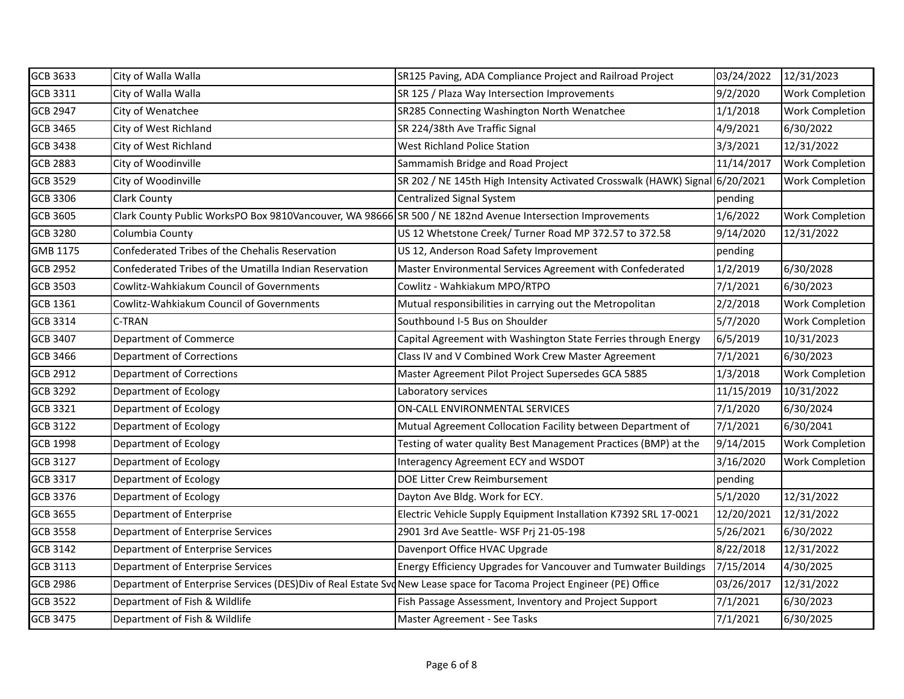| <b>GCB 3633</b> | City of Walla Walla                                                                                                  | SR125 Paving, ADA Compliance Project and Railroad Project                    | 03/24/2022 | 12/31/2023             |
|-----------------|----------------------------------------------------------------------------------------------------------------------|------------------------------------------------------------------------------|------------|------------------------|
| GCB 3311        | City of Walla Walla                                                                                                  | SR 125 / Plaza Way Intersection Improvements                                 | 9/2/2020   | Work Completion        |
| <b>GCB 2947</b> | City of Wenatchee                                                                                                    | SR285 Connecting Washington North Wenatchee                                  | 1/1/2018   | Work Completion        |
| <b>GCB 3465</b> | City of West Richland                                                                                                | SR 224/38th Ave Traffic Signal                                               | 4/9/2021   | 6/30/2022              |
| <b>GCB 3438</b> | City of West Richland                                                                                                | <b>West Richland Police Station</b>                                          | 3/3/2021   | 12/31/2022             |
| <b>GCB 2883</b> | City of Woodinville                                                                                                  | Sammamish Bridge and Road Project                                            | 11/14/2017 | <b>Work Completion</b> |
| <b>GCB 3529</b> | City of Woodinville                                                                                                  | SR 202 / NE 145th High Intensity Activated Crosswalk (HAWK) Signal 6/20/2021 |            | Work Completion        |
| GCB 3306        | <b>Clark County</b>                                                                                                  | Centralized Signal System                                                    | pending    |                        |
| <b>GCB 3605</b> | Clark County Public WorksPO Box 9810Vancouver, WA 98666 SR 500 / NE 182nd Avenue Intersection Improvements           |                                                                              | 1/6/2022   | Work Completion        |
| <b>GCB 3280</b> | Columbia County                                                                                                      | US 12 Whetstone Creek/ Turner Road MP 372.57 to 372.58                       | 9/14/2020  | 12/31/2022             |
| GMB 1175        | Confederated Tribes of the Chehalis Reservation                                                                      | US 12, Anderson Road Safety Improvement                                      | pending    |                        |
| <b>GCB 2952</b> | Confederated Tribes of the Umatilla Indian Reservation                                                               | Master Environmental Services Agreement with Confederated                    | 1/2/2019   | 6/30/2028              |
| <b>GCB 3503</b> | Cowlitz-Wahkiakum Council of Governments                                                                             | Cowlitz - Wahkiakum MPO/RTPO                                                 | 7/1/2021   | 6/30/2023              |
| GCB 1361        | Cowlitz-Wahkiakum Council of Governments                                                                             | Mutual responsibilities in carrying out the Metropolitan                     | 2/2/2018   | Work Completion        |
| <b>GCB 3314</b> | C-TRAN                                                                                                               | Southbound I-5 Bus on Shoulder                                               | 5/7/2020   | <b>Work Completion</b> |
| <b>GCB 3407</b> | Department of Commerce                                                                                               | Capital Agreement with Washington State Ferries through Energy               | 6/5/2019   | 10/31/2023             |
| <b>GCB 3466</b> | <b>Department of Corrections</b>                                                                                     | Class IV and V Combined Work Crew Master Agreement                           | 7/1/2021   | 6/30/2023              |
| <b>GCB 2912</b> | <b>Department of Corrections</b>                                                                                     | Master Agreement Pilot Project Supersedes GCA 5885                           | 1/3/2018   | <b>Work Completion</b> |
| <b>GCB 3292</b> | Department of Ecology                                                                                                | Laboratory services                                                          | 11/15/2019 | 10/31/2022             |
| <b>GCB 3321</b> | Department of Ecology                                                                                                | ON-CALL ENVIRONMENTAL SERVICES                                               | 7/1/2020   | 6/30/2024              |
| <b>GCB 3122</b> | Department of Ecology                                                                                                | Mutual Agreement Collocation Facility between Department of                  | 7/1/2021   | 6/30/2041              |
| <b>GCB 1998</b> | Department of Ecology                                                                                                | Testing of water quality Best Management Practices (BMP) at the              | 9/14/2015  | Work Completion        |
| <b>GCB 3127</b> | Department of Ecology                                                                                                | Interagency Agreement ECY and WSDOT                                          | 3/16/2020  | Work Completion        |
| <b>GCB 3317</b> | Department of Ecology                                                                                                | DOE Litter Crew Reimbursement                                                | pending    |                        |
| <b>GCB 3376</b> | Department of Ecology                                                                                                | Dayton Ave Bldg. Work for ECY.                                               | 5/1/2020   | 12/31/2022             |
| <b>GCB 3655</b> | Department of Enterprise                                                                                             | Electric Vehicle Supply Equipment Installation K7392 SRL 17-0021             | 12/20/2021 | 12/31/2022             |
| <b>GCB 3558</b> | Department of Enterprise Services                                                                                    | 2901 3rd Ave Seattle- WSF Prj 21-05-198                                      | 5/26/2021  | 6/30/2022              |
| <b>GCB 3142</b> | Department of Enterprise Services                                                                                    | Davenport Office HVAC Upgrade                                                | 8/22/2018  | 12/31/2022             |
| <b>GCB 3113</b> | Department of Enterprise Services                                                                                    | Energy Efficiency Upgrades for Vancouver and Tumwater Buildings              | 7/15/2014  | 4/30/2025              |
| <b>GCB 2986</b> | Department of Enterprise Services (DES)Div of Real Estate SvdNew Lease space for Tacoma Project Engineer (PE) Office |                                                                              | 03/26/2017 | 12/31/2022             |
| <b>GCB 3522</b> | Department of Fish & Wildlife                                                                                        | Fish Passage Assessment, Inventory and Project Support                       | 7/1/2021   | 6/30/2023              |
| <b>GCB 3475</b> | Department of Fish & Wildlife                                                                                        | Master Agreement - See Tasks                                                 | 7/1/2021   | 6/30/2025              |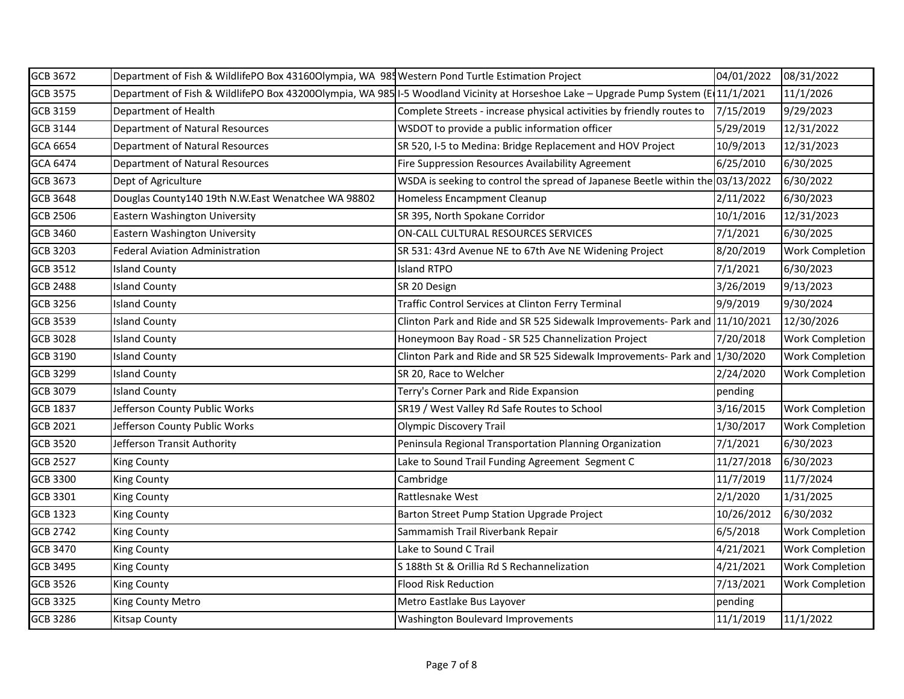| <b>GCB 3672</b> | Department of Fish & WildlifePO Box 43160Olympia, WA 985 Western Pond Turtle Estimation Project |                                                                                                                                    | 04/01/2022 | 08/31/2022             |
|-----------------|-------------------------------------------------------------------------------------------------|------------------------------------------------------------------------------------------------------------------------------------|------------|------------------------|
| <b>GCB 3575</b> |                                                                                                 | Department of Fish & WildlifePO Box 432000lympia, WA 985 I-5 Woodland Vicinity at Horseshoe Lake – Upgrade Pump System (E11/1/2021 |            | 11/1/2026              |
| <b>GCB 3159</b> | Department of Health                                                                            | Complete Streets - increase physical activities by friendly routes to                                                              | 7/15/2019  | 9/29/2023              |
| GCB 3144        | Department of Natural Resources                                                                 | WSDOT to provide a public information officer                                                                                      | 5/29/2019  | 12/31/2022             |
| GCA 6654        | Department of Natural Resources                                                                 | SR 520, I-5 to Medina: Bridge Replacement and HOV Project                                                                          | 10/9/2013  | 12/31/2023             |
| GCA 6474        | Department of Natural Resources                                                                 | Fire Suppression Resources Availability Agreement                                                                                  | 6/25/2010  | 6/30/2025              |
| <b>GCB 3673</b> | Dept of Agriculture                                                                             | WSDA is seeking to control the spread of Japanese Beetle within the 03/13/2022                                                     |            | 6/30/2022              |
| <b>GCB 3648</b> | Douglas County140 19th N.W.East Wenatchee WA 98802                                              | Homeless Encampment Cleanup                                                                                                        | 2/11/2022  | 6/30/2023              |
| <b>GCB 2506</b> | Eastern Washington University                                                                   | SR 395, North Spokane Corridor                                                                                                     | 10/1/2016  | 12/31/2023             |
| <b>GCB 3460</b> | <b>Eastern Washington University</b>                                                            | ON-CALL CULTURAL RESOURCES SERVICES                                                                                                | 7/1/2021   | 6/30/2025              |
| <b>GCB 3203</b> | <b>Federal Aviation Administration</b>                                                          | SR 531: 43rd Avenue NE to 67th Ave NE Widening Project                                                                             | 8/20/2019  | <b>Work Completion</b> |
| <b>GCB 3512</b> | <b>Island County</b>                                                                            | <b>Island RTPO</b>                                                                                                                 | 7/1/2021   | 6/30/2023              |
| <b>GCB 2488</b> | <b>Island County</b>                                                                            | SR 20 Design                                                                                                                       | 3/26/2019  | 9/13/2023              |
| <b>GCB 3256</b> | <b>Island County</b>                                                                            | Traffic Control Services at Clinton Ferry Terminal                                                                                 | 9/9/2019   | 9/30/2024              |
| <b>GCB 3539</b> | <b>Island County</b>                                                                            | Clinton Park and Ride and SR 525 Sidewalk Improvements- Park and 11/10/2021                                                        |            | 12/30/2026             |
| <b>GCB 3028</b> | <b>Island County</b>                                                                            | Honeymoon Bay Road - SR 525 Channelization Project                                                                                 | 7/20/2018  | <b>Work Completion</b> |
| <b>GCB 3190</b> | <b>Island County</b>                                                                            | Clinton Park and Ride and SR 525 Sidewalk Improvements- Park and                                                                   | 1/30/2020  | <b>Work Completion</b> |
| <b>GCB 3299</b> | <b>Island County</b>                                                                            | SR 20, Race to Welcher                                                                                                             | 2/24/2020  | <b>Work Completion</b> |
| <b>GCB 3079</b> | <b>Island County</b>                                                                            | Terry's Corner Park and Ride Expansion                                                                                             | pending    |                        |
| <b>GCB 1837</b> | Jefferson County Public Works                                                                   | SR19 / West Valley Rd Safe Routes to School                                                                                        | 3/16/2015  | <b>Work Completion</b> |
| <b>GCB 2021</b> | Jefferson County Public Works                                                                   | <b>Olympic Discovery Trail</b>                                                                                                     | 1/30/2017  | <b>Work Completion</b> |
| <b>GCB 3520</b> | Jefferson Transit Authority                                                                     | Peninsula Regional Transportation Planning Organization                                                                            | 7/1/2021   | 6/30/2023              |
| <b>GCB 2527</b> | <b>King County</b>                                                                              | Lake to Sound Trail Funding Agreement Segment C                                                                                    | 11/27/2018 | 6/30/2023              |
| <b>GCB 3300</b> | <b>King County</b>                                                                              | Cambridge                                                                                                                          | 11/7/2019  | 11/7/2024              |
| <b>GCB 3301</b> | <b>King County</b>                                                                              | Rattlesnake West                                                                                                                   | 2/1/2020   | 1/31/2025              |
| <b>GCB 1323</b> | <b>King County</b>                                                                              | Barton Street Pump Station Upgrade Project                                                                                         | 10/26/2012 | 6/30/2032              |
| <b>GCB 2742</b> | <b>King County</b>                                                                              | Sammamish Trail Riverbank Repair                                                                                                   | 6/5/2018   | <b>Work Completion</b> |
| <b>GCB 3470</b> | King County                                                                                     | Lake to Sound C Trail                                                                                                              | 4/21/2021  | <b>Work Completion</b> |
| <b>GCB 3495</b> | <b>King County</b>                                                                              | S 188th St & Orillia Rd S Rechannelization                                                                                         | 4/21/2021  | <b>Work Completion</b> |
| <b>GCB 3526</b> | <b>King County</b>                                                                              | <b>Flood Risk Reduction</b>                                                                                                        | 7/13/2021  | <b>Work Completion</b> |
| <b>GCB 3325</b> | King County Metro                                                                               | Metro Eastlake Bus Layover                                                                                                         | pending    |                        |
| <b>GCB 3286</b> | <b>Kitsap County</b>                                                                            | Washington Boulevard Improvements                                                                                                  | 11/1/2019  | 11/1/2022              |